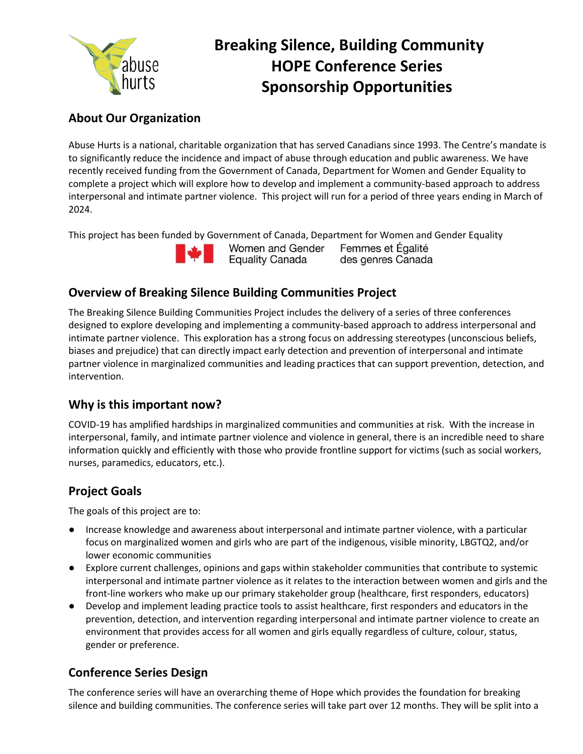

# **Breaking Silence, Building Community HOPE Conference Series Sponsorship Opportunities**

# **About Our Organization**

Abuse Hurts is a national, charitable organization that has served Canadians since 1993. The Centre's mandate is to significantly reduce the incidence and impact of abuse through education and public awareness. We have recently received funding from the Government of Canada, Department for Women and Gender Equality to complete a project which will explore how to develop and implement a community-based approach to address interpersonal and intimate partner violence. This project will run for a period of three years ending in March of 2024.

This project has been funded by Government of Canada, Department for Women and Gender Equality



Women and Gender **Equality Canada** 

Femmes et Égalité des genres Canada

# **Overview of Breaking Silence Building Communities Project**

The Breaking Silence Building Communities Project includes the delivery of a series of three conferences designed to explore developing and implementing a community-based approach to address interpersonal and intimate partner violence. This exploration has a strong focus on addressing stereotypes (unconscious beliefs, biases and prejudice) that can directly impact early detection and prevention of interpersonal and intimate partner violence in marginalized communities and leading practices that can support prevention, detection, and intervention.

# **Why is this important now?**

COVID-19 has amplified hardships in marginalized communities and communities at risk. With the increase in interpersonal, family, and intimate partner violence and violence in general, there is an incredible need to share information quickly and efficiently with those who provide frontline support for victims (such as social workers, nurses, paramedics, educators, etc.).

# **Project Goals**

The goals of this project are to:

- Increase knowledge and awareness about interpersonal and intimate partner violence, with a particular focus on marginalized women and girls who are part of the indigenous, visible minority, LBGTQ2, and/or lower economic communities
- Explore current challenges, opinions and gaps within stakeholder communities that contribute to systemic interpersonal and intimate partner violence as it relates to the interaction between women and girls and the front-line workers who make up our primary stakeholder group (healthcare, first responders, educators)
- Develop and implement leading practice tools to assist healthcare, first responders and educators in the prevention, detection, and intervention regarding interpersonal and intimate partner violence to create an environment that provides access for all women and girls equally regardless of culture, colour, status, gender or preference.

# **Conference Series Design**

The conference series will have an overarching theme of Hope which provides the foundation for breaking silence and building communities. The conference series will take part over 12 months. They will be split into a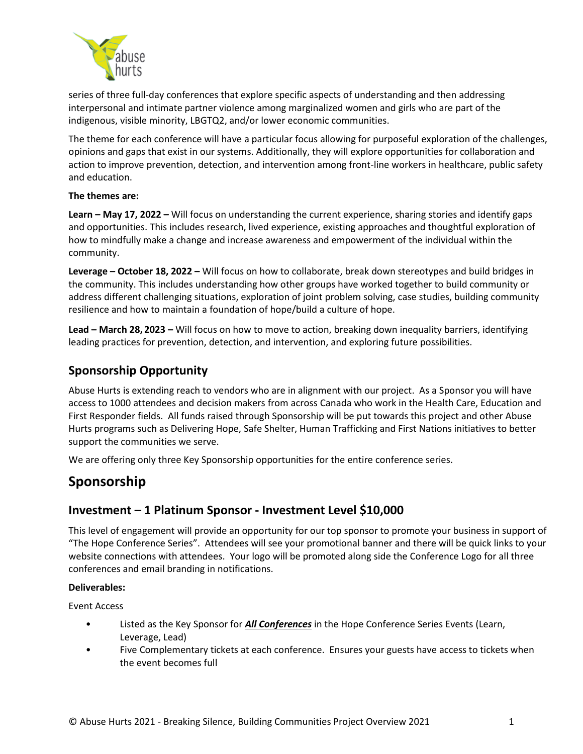

series of three full-day conferences that explore specific aspects of understanding and then addressing interpersonal and intimate partner violence among marginalized women and girls who are part of the indigenous, visible minority, LBGTQ2, and/or lower economic communities.

The theme for each conference will have a particular focus allowing for purposeful exploration of the challenges, opinions and gaps that exist in our systems. Additionally, they will explore opportunities for collaboration and action to improve prevention, detection, and intervention among front-line workers in healthcare, public safety and education.

### **The themes are:**

**Learn – May 17, 2022 –** Will focus on understanding the current experience, sharing stories and identify gaps and opportunities. This includes research, lived experience, existing approaches and thoughtful exploration of how to mindfully make a change and increase awareness and empowerment of the individual within the community.

**Leverage – October 18, 2022 –** Will focus on how to collaborate, break down stereotypes and build bridges in the community. This includes understanding how other groups have worked together to build community or address different challenging situations, exploration of joint problem solving, case studies, building community resilience and how to maintain a foundation of hope/build a culture of hope.

**Lead – March 28, 2023 –** Will focus on how to move to action, breaking down inequality barriers, identifying leading practices for prevention, detection, and intervention, and exploring future possibilities.

# **Sponsorship Opportunity**

Abuse Hurts is extending reach to vendors who are in alignment with our project. As a Sponsor you will have access to 1000 attendees and decision makers from across Canada who work in the Health Care, Education and First Responder fields. All funds raised through Sponsorship will be put towards this project and other Abuse Hurts programs such as Delivering Hope, Safe Shelter, Human Trafficking and First Nations initiatives to better support the communities we serve.

We are offering only three Key Sponsorship opportunities for the entire conference series.

# **Sponsorship**

### **Investment – 1 Platinum Sponsor - Investment Level \$10,000**

This level of engagement will provide an opportunity for our top sponsor to promote your business in support of "The Hope Conference Series". Attendees will see your promotional banner and there will be quick links to your website connections with attendees. Your logo will be promoted along side the Conference Logo for all three conferences and email branding in notifications.

### **Deliverables:**

Event Access

- Listed as the Key Sponsor for *All Conferences* in the Hope Conference Series Events (Learn, Leverage, Lead)
- Five Complementary tickets at each conference. Ensures your guests have access to tickets when the event becomes full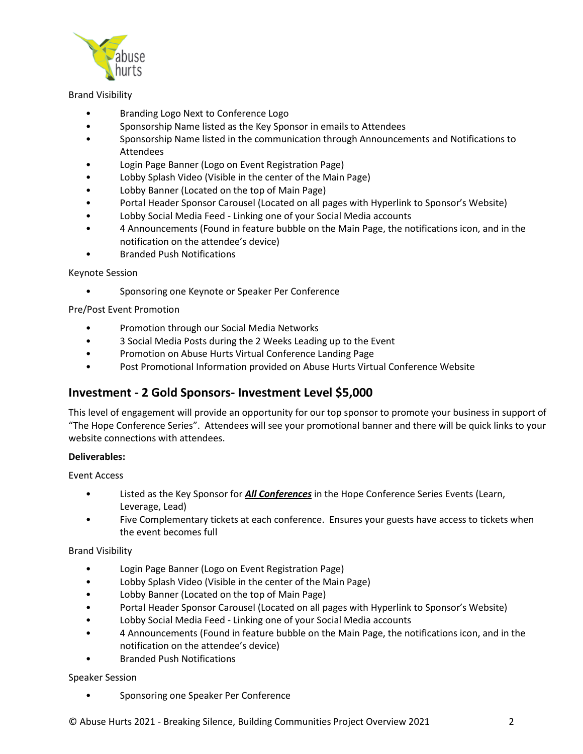

### Brand Visibility

- Branding Logo Next to Conference Logo
- Sponsorship Name listed as the Key Sponsor in emails to Attendees
- Sponsorship Name listed in the communication through Announcements and Notifications to Attendees
- Login Page Banner (Logo on Event Registration Page)
- Lobby Splash Video (Visible in the center of the Main Page)
- Lobby Banner (Located on the top of Main Page)
- Portal Header Sponsor Carousel (Located on all pages with Hyperlink to Sponsor's Website)
- Lobby Social Media Feed Linking one of your Social Media accounts
- 4 Announcements (Found in feature bubble on the Main Page, the notifications icon, and in the notification on the attendee's device)
- Branded Push Notifications

#### Keynote Session

• Sponsoring one Keynote or Speaker Per Conference

Pre/Post Event Promotion

- Promotion through our Social Media Networks
- 3 Social Media Posts during the 2 Weeks Leading up to the Event
- Promotion on Abuse Hurts Virtual Conference Landing Page
- Post Promotional Information provided on Abuse Hurts Virtual Conference Website

### **Investment - 2 Gold Sponsors- Investment Level \$5,000**

This level of engagement will provide an opportunity for our top sponsor to promote your business in support of "The Hope Conference Series". Attendees will see your promotional banner and there will be quick links to your website connections with attendees.

#### **Deliverables:**

Event Access

- Listed as the Key Sponsor for *All Conferences* in the Hope Conference Series Events (Learn, Leverage, Lead)
- Five Complementary tickets at each conference. Ensures your guests have access to tickets when the event becomes full

### Brand Visibility

- Login Page Banner (Logo on Event Registration Page)
- Lobby Splash Video (Visible in the center of the Main Page)
- Lobby Banner (Located on the top of Main Page)
- Portal Header Sponsor Carousel (Located on all pages with Hyperlink to Sponsor's Website)
- Lobby Social Media Feed Linking one of your Social Media accounts
- 4 Announcements (Found in feature bubble on the Main Page, the notifications icon, and in the notification on the attendee's device)
- Branded Push Notifications

### Speaker Session

• Sponsoring one Speaker Per Conference